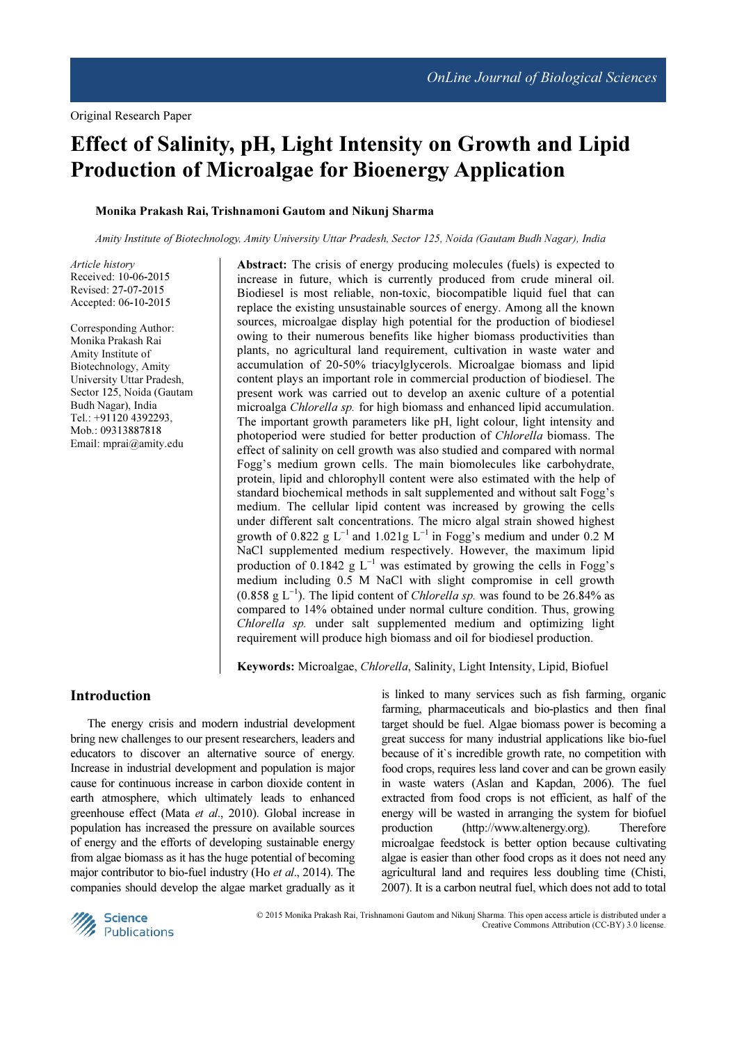# Effect of Salinity, pH, Light Intensity on Growth and Lipid Production of Microalgae for Bioenergy Application

## Monika Prakash Rai, Trishnamoni Gautom and Nikunj Sharma

Amity Institute of Biotechnology, Amity University Uttar Pradesh, Sector 125, Noida (Gautam Budh Nagar), India

Article history Received: 10-06-2015 Revised: 27-07-2015 Accepted: 06-10-2015

Corresponding Author: Monika Prakash Rai Amity Institute of Biotechnology, Amity University Uttar Pradesh, Sector 125, Noida (Gautam Budh Nagar), India Tel.: +91120 4392293, Mob.: 09313887818 Email: mprai@amity.edu

Abstract: The crisis of energy producing molecules (fuels) is expected to increase in future, which is currently produced from crude mineral oil. Biodiesel is most reliable, non-toxic, biocompatible liquid fuel that can replace the existing unsustainable sources of energy. Among all the known sources, microalgae display high potential for the production of biodiesel owing to their numerous benefits like higher biomass productivities than plants, no agricultural land requirement, cultivation in waste water and accumulation of 20-50% triacylglycerols. Microalgae biomass and lipid content plays an important role in commercial production of biodiesel. The present work was carried out to develop an axenic culture of a potential microalga Chlorella sp. for high biomass and enhanced lipid accumulation. The important growth parameters like pH, light colour, light intensity and photoperiod were studied for better production of Chlorella biomass. The effect of salinity on cell growth was also studied and compared with normal Fogg's medium grown cells. The main biomolecules like carbohydrate, protein, lipid and chlorophyll content were also estimated with the help of standard biochemical methods in salt supplemented and without salt Fogg's medium. The cellular lipid content was increased by growing the cells under different salt concentrations. The micro algal strain showed highest growth of 0.822 g L<sup>-1</sup> and 1.021g L<sup>-1</sup> in Fogg's medium and under 0.2 M NaCl supplemented medium respectively. However, the maximum lipid production of 0.1842  $g$  L<sup>-1</sup> was estimated by growing the cells in Fogg's medium including 0.5 M NaCl with slight compromise in cell growth (0.858 g L<sup>-1</sup>). The lipid content of *Chlorella sp*. was found to be 26.84% as compared to 14% obtained under normal culture condition. Thus, growing Chlorella sp. under salt supplemented medium and optimizing light requirement will produce high biomass and oil for biodiesel production.

Keywords: Microalgae, Chlorella, Salinity, Light Intensity, Lipid, Biofuel

## Introduction

The energy crisis and modern industrial development bring new challenges to our present researchers, leaders and educators to discover an alternative source of energy. Increase in industrial development and population is major cause for continuous increase in carbon dioxide content in earth atmosphere, which ultimately leads to enhanced greenhouse effect (Mata et al., 2010). Global increase in population has increased the pressure on available sources of energy and the efforts of developing sustainable energy from algae biomass as it has the huge potential of becoming major contributor to bio-fuel industry (Ho et al., 2014). The companies should develop the algae market gradually as it

is linked to many services such as fish farming, organic farming, pharmaceuticals and bio-plastics and then final target should be fuel. Algae biomass power is becoming a great success for many industrial applications like bio-fuel because of it`s incredible growth rate, no competition with food crops, requires less land cover and can be grown easily in waste waters (Aslan and Kapdan, 2006). The fuel extracted from food crops is not efficient, as half of the energy will be wasted in arranging the system for biofuel production (http://www.altenergy.org). Therefore microalgae feedstock is better option because cultivating algae is easier than other food crops as it does not need any agricultural land and requires less doubling time (Chisti, 2007). It is a carbon neutral fuel, which does not add to total



© 2015 Monika Prakash Rai, Trishnamoni Gautom and Nikunj Sharma. This open access article is distributed under a Creative Commons Attribution (CC-BY) 3.0 license.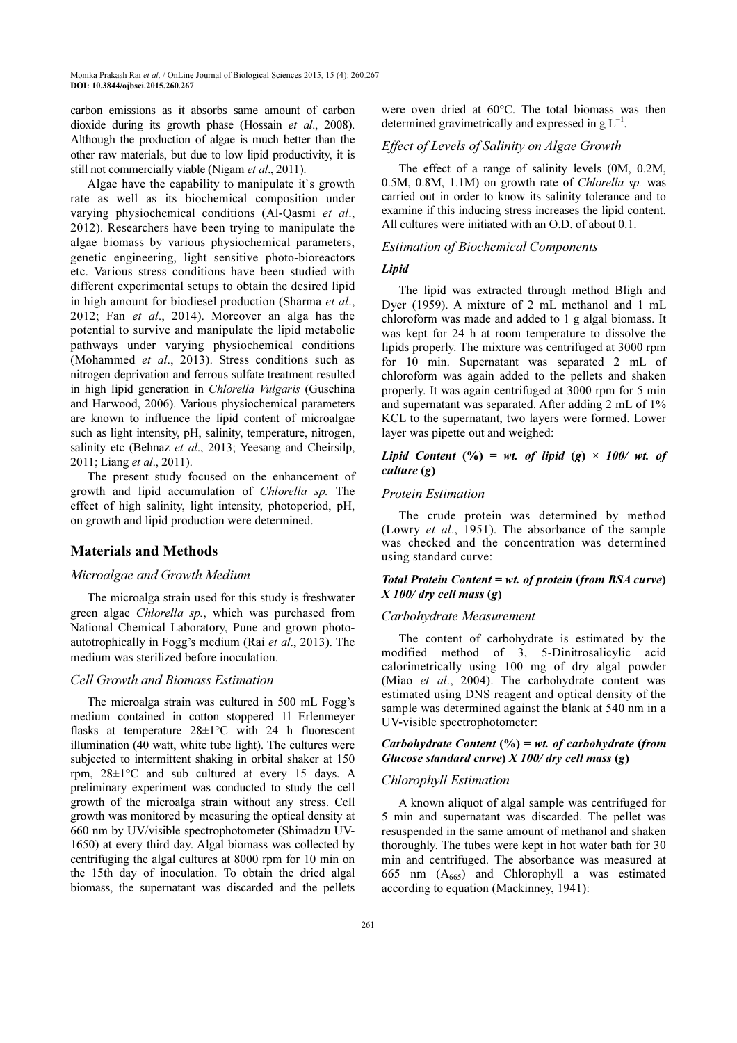carbon emissions as it absorbs same amount of carbon dioxide during its growth phase (Hossain et al., 2008). Although the production of algae is much better than the other raw materials, but due to low lipid productivity, it is still not commercially viable (Nigam et al., 2011).

Algae have the capability to manipulate it`s growth rate as well as its biochemical composition under varying physiochemical conditions (Al-Qasmi et al., 2012). Researchers have been trying to manipulate the algae biomass by various physiochemical parameters, genetic engineering, light sensitive photo-bioreactors etc. Various stress conditions have been studied with different experimental setups to obtain the desired lipid in high amount for biodiesel production (Sharma et al., 2012; Fan et al., 2014). Moreover an alga has the potential to survive and manipulate the lipid metabolic pathways under varying physiochemical conditions (Mohammed et al., 2013). Stress conditions such as nitrogen deprivation and ferrous sulfate treatment resulted in high lipid generation in Chlorella Vulgaris (Guschina and Harwood, 2006). Various physiochemical parameters are known to influence the lipid content of microalgae such as light intensity, pH, salinity, temperature, nitrogen, salinity etc (Behnaz et al., 2013; Yeesang and Cheirsilp, 2011; Liang et al., 2011).

The present study focused on the enhancement of growth and lipid accumulation of Chlorella sp. The effect of high salinity, light intensity, photoperiod, pH, on growth and lipid production were determined.

# Materials and Methods

#### Microalgae and Growth Medium

The microalga strain used for this study is freshwater green algae Chlorella sp., which was purchased from National Chemical Laboratory, Pune and grown photoautotrophically in Fogg's medium (Rai et al., 2013). The medium was sterilized before inoculation.

#### Cell Growth and Biomass Estimation

The microalga strain was cultured in 500 mL Fogg's medium contained in cotton stoppered 1l Erlenmeyer flasks at temperature  $28 \pm 1$ °C with 24 h fluorescent illumination (40 watt, white tube light). The cultures were subjected to intermittent shaking in orbital shaker at 150 rpm, 28±1°C and sub cultured at every 15 days. A preliminary experiment was conducted to study the cell growth of the microalga strain without any stress. Cell growth was monitored by measuring the optical density at 660 nm by UV/visible spectrophotometer (Shimadzu UV-1650) at every third day. Algal biomass was collected by centrifuging the algal cultures at 8000 rpm for 10 min on the 15th day of inoculation. To obtain the dried algal biomass, the supernatant was discarded and the pellets were oven dried at 60°C. The total biomass was then determined gravimetrically and expressed in  $g L^{-1}$ .

## Effect of Levels of Salinity on Algae Growth

The effect of a range of salinity levels (0M, 0.2M, 0.5M, 0.8M, 1.1M) on growth rate of Chlorella sp. was carried out in order to know its salinity tolerance and to examine if this inducing stress increases the lipid content. All cultures were initiated with an O.D. of about 0.1.

#### Estimation of Biochemical Components

## Lipid

The lipid was extracted through method Bligh and Dyer (1959). A mixture of 2 mL methanol and 1 mL chloroform was made and added to 1 g algal biomass. It was kept for 24 h at room temperature to dissolve the lipids properly. The mixture was centrifuged at 3000 rpm for 10 min. Supernatant was separated 2 mL of chloroform was again added to the pellets and shaken properly. It was again centrifuged at 3000 rpm for 5 min and supernatant was separated. After adding 2 mL of 1% KCL to the supernatant, two layers were formed. Lower layer was pipette out and weighed:

## Lipid Content  $(\%)$  = wt. of lipid  $(g) \times 100/$  wt. of culture (g)

#### Protein Estimation

The crude protein was determined by method (Lowry et al., 1951). The absorbance of the sample was checked and the concentration was determined using standard curve:

## Total Protein Content = wt. of protein (from  $BSA$  curve)  $X$  100/dry cell mass  $(g)$

#### Carbohydrate Measurement

The content of carbohydrate is estimated by the modified method of 3, 5-Dinitrosalicylic acid calorimetrically using 100 mg of dry algal powder (Miao et al., 2004). The carbohydrate content was estimated using DNS reagent and optical density of the sample was determined against the blank at 540 nm in a UV-visible spectrophotometer:

Carbohydrate Content  $(%) = wt$ . of carbohydrate (from Glucose standard curve)  $X100/dry$  cell mass (g)

#### Chlorophyll Estimation

A known aliquot of algal sample was centrifuged for 5 min and supernatant was discarded. The pellet was resuspended in the same amount of methanol and shaken thoroughly. The tubes were kept in hot water bath for 30 min and centrifuged. The absorbance was measured at 665 nm  $(A_{665})$  and Chlorophyll a was estimated according to equation (Mackinney, 1941):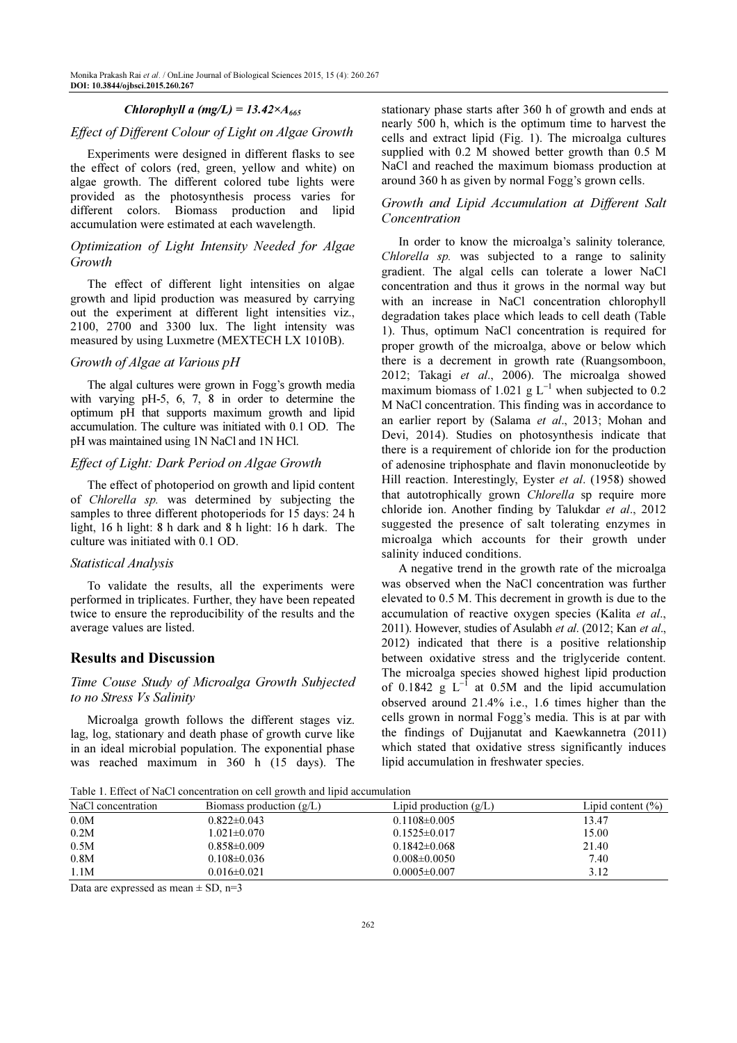## Chlorophyll a (mg/L) =  $13.42 \times A_{665}$

# Effect of Different Colour of Light on Algae Growth

Experiments were designed in different flasks to see the effect of colors (red, green, yellow and white) on algae growth. The different colored tube lights were provided as the photosynthesis process varies for different colors. Biomass production and lipid accumulation were estimated at each wavelength.

## Optimization of Light Intensity Needed for Algae Growth

The effect of different light intensities on algae growth and lipid production was measured by carrying out the experiment at different light intensities viz., 2100, 2700 and 3300 lux. The light intensity was measured by using Luxmetre (MEXTECH LX 1010B).

#### Growth of Algae at Various pH

The algal cultures were grown in Fogg's growth media with varying pH-5, 6, 7, 8 in order to determine the optimum pH that supports maximum growth and lipid accumulation. The culture was initiated with 0.1 OD. The pH was maintained using 1N NaCl and 1N HCl.

#### Effect of Light: Dark Period on Algae Growth

The effect of photoperiod on growth and lipid content of Chlorella sp. was determined by subjecting the samples to three different photoperiods for 15 days: 24 h light, 16 h light: 8 h dark and 8 h light: 16 h dark. The culture was initiated with 0.1 OD.

#### Statistical Analysis

To validate the results, all the experiments were performed in triplicates. Further, they have been repeated twice to ensure the reproducibility of the results and the average values are listed.

## Results and Discussion

## Time Couse Study of Microalga Growth Subjected to no Stress Vs Salinity

Microalga growth follows the different stages viz. lag, log, stationary and death phase of growth curve like in an ideal microbial population. The exponential phase was reached maximum in 360 h (15 days). The stationary phase starts after 360 h of growth and ends at nearly 500 h, which is the optimum time to harvest the cells and extract lipid (Fig. 1). The microalga cultures supplied with 0.2 M showed better growth than 0.5 M NaCl and reached the maximum biomass production at around 360 h as given by normal Fogg's grown cells.

## Growth and Lipid Accumulation at Different Salt Concentration

In order to know the microalga's salinity tolerance, Chlorella sp. was subjected to a range to salinity gradient. The algal cells can tolerate a lower NaCl concentration and thus it grows in the normal way but with an increase in NaCl concentration chlorophyll degradation takes place which leads to cell death (Table 1). Thus, optimum NaCl concentration is required for proper growth of the microalga, above or below which there is a decrement in growth rate (Ruangsomboon, 2012; Takagi et al., 2006). The microalga showed maximum biomass of 1.021  $g L^{-1}$  when subjected to 0.2 M NaCl concentration. This finding was in accordance to an earlier report by (Salama et al., 2013; Mohan and Devi, 2014). Studies on photosynthesis indicate that there is a requirement of chloride ion for the production of adenosine triphosphate and flavin mononucleotide by Hill reaction. Interestingly, Eyster et al. (1958) showed that autotrophically grown Chlorella sp require more chloride ion. Another finding by Talukdar et al., 2012 suggested the presence of salt tolerating enzymes in microalga which accounts for their growth under salinity induced conditions.

A negative trend in the growth rate of the microalga was observed when the NaCl concentration was further elevated to 0.5 M. This decrement in growth is due to the accumulation of reactive oxygen species (Kalita et al., 2011). However, studies of Asulabh et al. (2012; Kan et al., 2012) indicated that there is a positive relationship between oxidative stress and the triglyceride content. The microalga species showed highest lipid production of 0.1842  $g$  L<sup>-1</sup> at 0.5M and the lipid accumulation observed around 21.4% i.e., 1.6 times higher than the cells grown in normal Fogg's media. This is at par with the findings of Dujjanutat and Kaewkannetra (2011) which stated that oxidative stress significantly induces lipid accumulation in freshwater species.

Table 1. Effect of NaCl concentration on cell growth and lipid accumulation

| Table 1. Effect of tyact concentration on cent growth and fipld accumulation |                          |                       |  |  |  |  |
|------------------------------------------------------------------------------|--------------------------|-----------------------|--|--|--|--|
| Biomass production $(g/L)$                                                   | Lipid production $(g/L)$ | Lipid content $(\% )$ |  |  |  |  |
| $0.822 \pm 0.043$                                                            | $0.1108 \pm 0.005$       | 13.47                 |  |  |  |  |
| 1.021±0.070                                                                  | $0.1525 \pm 0.017$       | 15.00                 |  |  |  |  |
| $0.858 \pm 0.009$                                                            | $0.1842 \pm 0.068$       | 21.40                 |  |  |  |  |
| $0.108 \pm 0.036$                                                            | $0.008 \pm 0.0050$       | 7.40                  |  |  |  |  |
| $0.016 \pm 0.021$                                                            | $0.0005 \pm 0.007$       | 3.12                  |  |  |  |  |
|                                                                              |                          |                       |  |  |  |  |

Data are expressed as mean  $\pm$  SD, n=3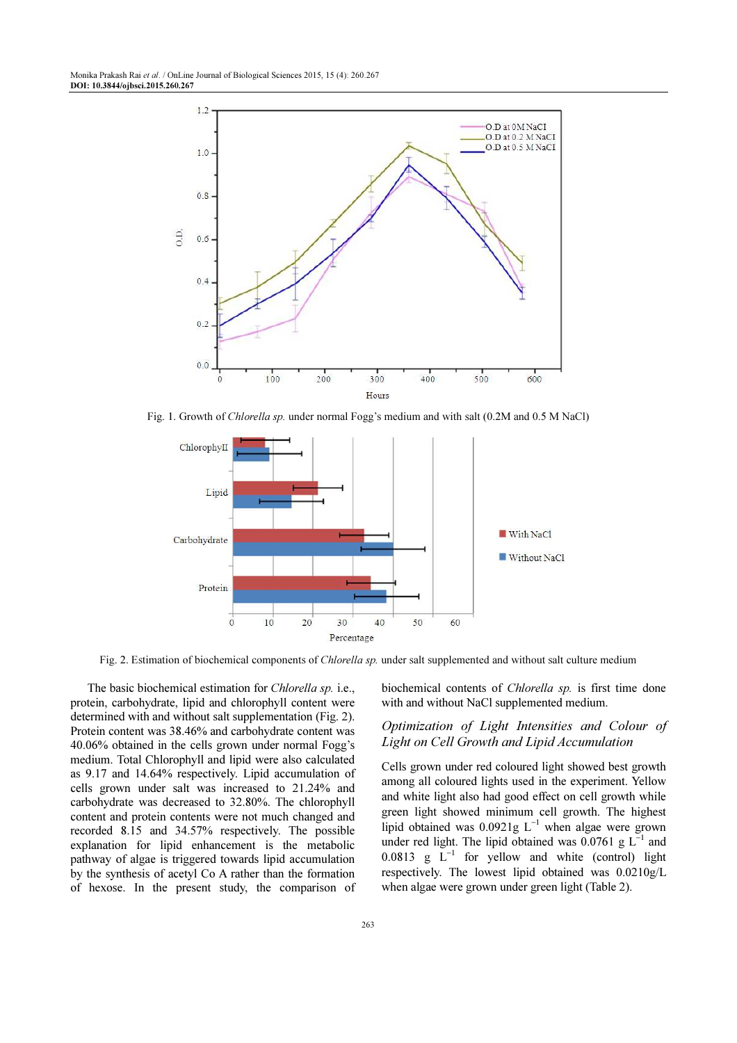

Fig. 1. Growth of Chlorella sp. under normal Fogg's medium and with salt (0.2M and 0.5 M NaCl)



Fig. 2. Estimation of biochemical components of Chlorella sp. under salt supplemented and without salt culture medium

The basic biochemical estimation for Chlorella sp. i.e., protein, carbohydrate, lipid and chlorophyll content were determined with and without salt supplementation (Fig. 2). Protein content was 38.46% and carbohydrate content was 40.06% obtained in the cells grown under normal Fogg's medium. Total Chlorophyll and lipid were also calculated as 9.17 and 14.64% respectively. Lipid accumulation of cells grown under salt was increased to 21.24% and carbohydrate was decreased to 32.80%. The chlorophyll content and protein contents were not much changed and recorded 8.15 and 34.57% respectively. The possible explanation for lipid enhancement is the metabolic pathway of algae is triggered towards lipid accumulation by the synthesis of acetyl Co A rather than the formation of hexose. In the present study, the comparison of biochemical contents of Chlorella sp. is first time done with and without NaCl supplemented medium.

# Optimization of Light Intensities and Colour of Light on Cell Growth and Lipid Accumulation

Cells grown under red coloured light showed best growth among all coloured lights used in the experiment. Yellow and white light also had good effect on cell growth while green light showed minimum cell growth. The highest lipid obtained was  $0.0921g$  L<sup>-1</sup> when algae were grown under red light. The lipid obtained was  $0.0761$  g L<sup>-1</sup> and 0.0813 g  $\overline{L}^{-1}$  for yellow and white (control) light respectively. The lowest lipid obtained was 0.0210g/L when algae were grown under green light (Table 2).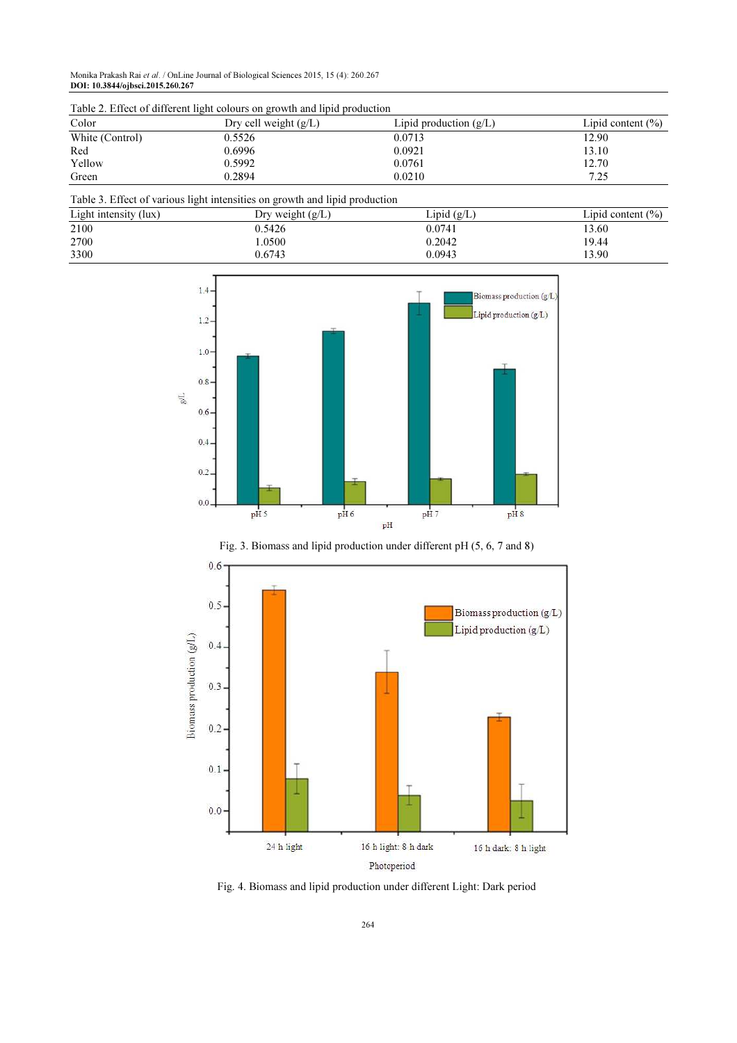Monika Prakash Rai et al. / OnLine Journal of Biological Sciences 2015, 15 (4): 260.267 DOI: 10.3844/ojbsci.2015.260.267

| Table 2. Effect of unferent light colours on growth and hold production |                         |                          |                       |  |  |
|-------------------------------------------------------------------------|-------------------------|--------------------------|-----------------------|--|--|
| Color                                                                   | Dry cell weight $(g/L)$ | Lipid production $(g/L)$ | Lipid content $(\% )$ |  |  |
| White (Control)                                                         | 0.5526                  | 0.0713                   | 12.90                 |  |  |
| Red                                                                     | 0.6996                  | 0.0921                   | 13.10                 |  |  |
| Yellow                                                                  | 0.5992                  | 0.0761                   | 12.70                 |  |  |
| Green                                                                   | 0.2894                  | 0.0210                   | 7.25                  |  |  |

Table 2. Effect of different light colours on growth and lipid production

|  |  |  |  | Table 3. Effect of various light intensities on growth and lipid production |
|--|--|--|--|-----------------------------------------------------------------------------|
|  |  |  |  |                                                                             |

| Light intensity (lux) | Dry weight $(g/L)$ | Lipid $(g/L)$ | Lipid content $(\% )$ |
|-----------------------|--------------------|---------------|-----------------------|
| 2100                  | 0.5426             | 0.0741        | 13.60                 |
| 2700                  | .0500              | 0.2042        | 19.44                 |
| 3300                  | 0.6743             | 0.0943        | 13.90                 |



Fig. 3. Biomass and lipid production under different pH (5, 6, 7 and 8)



Fig. 4. Biomass and lipid production under different Light: Dark period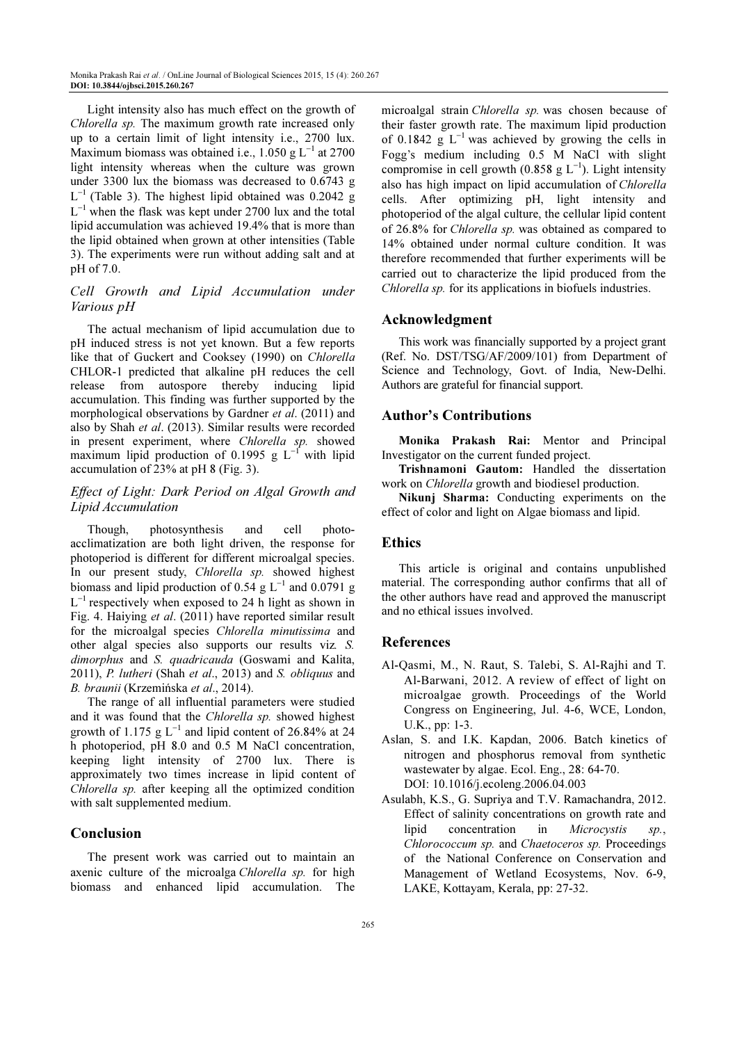Light intensity also has much effect on the growth of Chlorella sp. The maximum growth rate increased only up to a certain limit of light intensity i.e., 2700 lux. Maximum biomass was obtained i.e.,  $1.050 \text{ g L}^{-1}$  at 2700 light intensity whereas when the culture was grown under 3300 lux the biomass was decreased to 0.6743 g  $L^{-1}$  (Table 3). The highest lipid obtained was 0.2042 g L −1 when the flask was kept under 2700 lux and the total lipid accumulation was achieved 19.4% that is more than the lipid obtained when grown at other intensities (Table 3). The experiments were run without adding salt and at pH of 7.0.

# Cell Growth and Lipid Accumulation under Various pH

The actual mechanism of lipid accumulation due to pH induced stress is not yet known. But a few reports like that of Guckert and Cooksey (1990) on Chlorella CHLOR-1 predicted that alkaline pH reduces the cell release from autospore thereby inducing lipid accumulation. This finding was further supported by the morphological observations by Gardner *et al.* (2011) and also by Shah et al. (2013). Similar results were recorded in present experiment, where Chlorella sp. showed maximum lipid production of 0.1995 g  $L^{-1}$  with lipid accumulation of 23% at pH 8 (Fig. 3).

# Effect of Light: Dark Period on Algal Growth and Lipid Accumulation

Though, photosynthesis and cell photoacclimatization are both light driven, the response for photoperiod is different for different microalgal species. In our present study, Chlorella sp. showed highest biomass and lipid production of 0.54  $g L^{-1}$  and 0.0791 g  $L^{-1}$  respectively when exposed to 24 h light as shown in Fig. 4. Haiying et al. (2011) have reported similar result for the microalgal species Chlorella minutissima and other algal species also supports our results viz. S. dimorphus and S. quadricauda (Goswami and Kalita, 2011), P. lutheri (Shah et al., 2013) and S. obliquus and B. braunii (Krzemińska et al., 2014).

The range of all influential parameters were studied and it was found that the Chlorella sp. showed highest growth of 1.175  $g L^{-1}$  and lipid content of 26.84% at 24 h photoperiod, pH 8.0 and 0.5 M NaCl concentration, keeping light intensity of 2700 lux. There is approximately two times increase in lipid content of Chlorella sp. after keeping all the optimized condition with salt supplemented medium.

# Conclusion

The present work was carried out to maintain an axenic culture of the microalga Chlorella sp. for high biomass and enhanced lipid accumulation. The microalgal strain Chlorella sp. was chosen because of their faster growth rate. The maximum lipid production of 0.1842  $g$  L<sup>-1</sup> was achieved by growing the cells in Fogg's medium including 0.5 M NaCl with slight compromise in cell growth (0.858 g  $L^{-1}$ ). Light intensity also has high impact on lipid accumulation of Chlorella cells. After optimizing pH, light intensity and photoperiod of the algal culture, the cellular lipid content of 26.8% for Chlorella sp. was obtained as compared to 14% obtained under normal culture condition. It was therefore recommended that further experiments will be carried out to characterize the lipid produced from the Chlorella sp. for its applications in biofuels industries.

# Acknowledgment

This work was financially supported by a project grant (Ref. No. DST/TSG/AF/2009/101) from Department of Science and Technology, Govt. of India, New-Delhi. Authors are grateful for financial support.

# Author's Contributions

Monika Prakash Rai: Mentor and Principal Investigator on the current funded project.

Trishnamoni Gautom: Handled the dissertation work on Chlorella growth and biodiesel production.

Nikunj Sharma: Conducting experiments on the effect of color and light on Algae biomass and lipid.

# Ethics

This article is original and contains unpublished material. The corresponding author confirms that all of the other authors have read and approved the manuscript and no ethical issues involved.

# References

- Al-Qasmi, M., N. Raut, S. Talebi, S. Al-Rajhi and T. Al-Barwani, 2012. A review of effect of light on microalgae growth. Proceedings of the World Congress on Engineering, Jul. 4-6, WCE, London, U.K., pp: 1-3.
- Aslan, S. and I.K. Kapdan, 2006. Batch kinetics of nitrogen and phosphorus removal from synthetic wastewater by algae. Ecol. Eng., 28: 64-70. DOI: 10.1016/j.ecoleng.2006.04.003
- Asulabh, K.S., G. Supriya and T.V. Ramachandra, 2012. Effect of salinity concentrations on growth rate and lipid concentration in Microcystis sp., Chlorococcum sp. and Chaetoceros sp. Proceedings of the National Conference on Conservation and Management of Wetland Ecosystems, Nov. 6-9, LAKE, Kottayam, Kerala, pp: 27-32.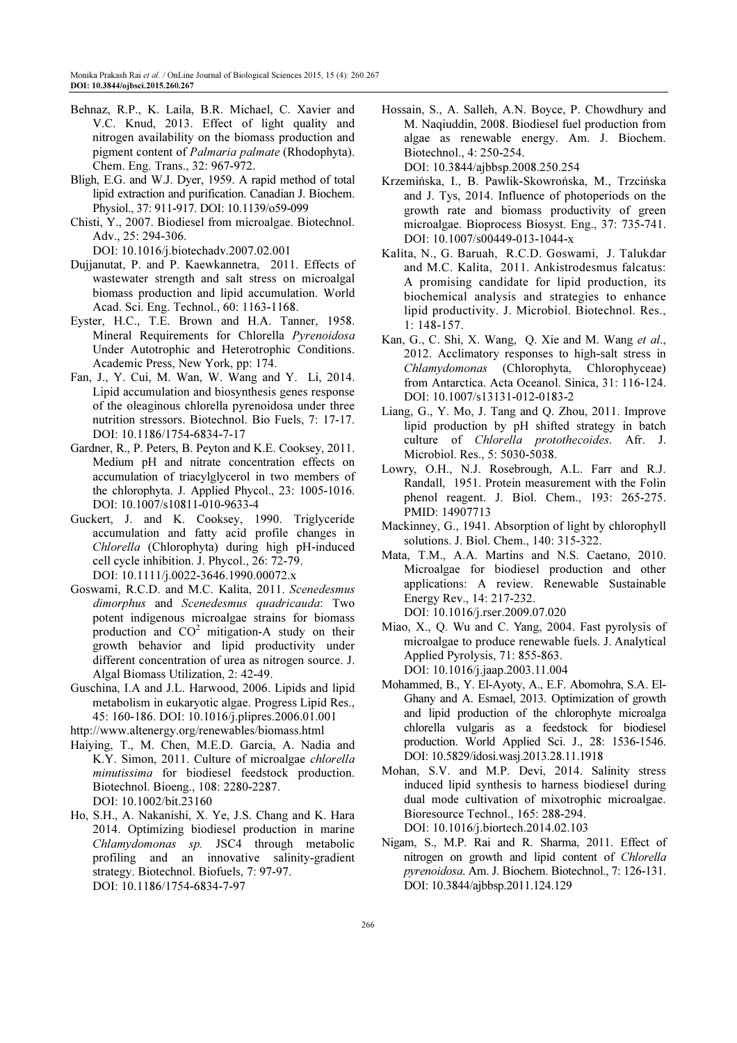- Behnaz, R.P., K. Laila, B.R. Michael, C. Xavier and V.C. Knud, 2013. Effect of light quality and nitrogen availability on the biomass production and pigment content of Palmaria palmate (Rhodophyta). Chem. Eng. Trans., 32: 967-972.
- Bligh, E.G. and W.J. Dyer, 1959. A rapid method of total lipid extraction and purification. Canadian J. Biochem. Physiol., 37: 911-917. DOI: 10.1139/o59-099
- Chisti, Y., 2007. Biodiesel from microalgae. Biotechnol. Adv., 25: 294-306.

DOI: 10.1016/j.biotechadv.2007.02.001

- Dujjanutat, P. and P. Kaewkannetra, 2011. Effects of wastewater strength and salt stress on microalgal biomass production and lipid accumulation. World Acad. Sci. Eng. Technol., 60: 1163-1168.
- Eyster, H.C., T.E. Brown and H.A. Tanner, 1958. Mineral Requirements for Chlorella Pyrenoidosa Under Autotrophic and Heterotrophic Conditions. Academic Press, New York, pp: 174.
- Fan, J., Y. Cui, M. Wan, W. Wang and Y. Li, 2014. Lipid accumulation and biosynthesis genes response of the oleaginous chlorella pyrenoidosa under three nutrition stressors. Biotechnol. Bio Fuels, 7: 17-17. DOI: 10.1186/1754-6834-7-17
- Gardner, R., P. Peters, B. Peyton and K.E. Cooksey, 2011. Medium pH and nitrate concentration effects on accumulation of triacylglycerol in two members of the chlorophyta. J. Applied Phycol., 23: 1005-1016. DOI: 10.1007/s10811-010-9633-4
- Guckert, J. and K. Cooksey, 1990. Triglyceride accumulation and fatty acid profile changes in Chlorella (Chlorophyta) during high pH-induced cell cycle inhibition. J. Phycol., 26: 72-79. DOI: 10.1111/j.0022-3646.1990.00072.x
- Goswami, R.C.D. and M.C. Kalita, 2011. Scenedesmus dimorphus and Scenedesmus quadricauda: Two potent indigenous microalgae strains for biomass production and  $CO^2$  mitigation-A study on their growth behavior and lipid productivity under different concentration of urea as nitrogen source. J. Algal Biomass Utilization, 2: 42-49.
- Guschina, I.A and J.L. Harwood, 2006. Lipids and lipid metabolism in eukaryotic algae. Progress Lipid Res., 45: 160-186. DOI: 10.1016/j.plipres.2006.01.001

http://www.altenergy.org/renewables/biomass.html

- Haiying, T., M. Chen, M.E.D. Garcia, A. Nadia and K.Y. Simon, 2011. Culture of microalgae chlorella minutissima for biodiesel feedstock production. Biotechnol. Bioeng., 108: 2280-2287. DOI: 10.1002/bit.23160
- Ho, S.H., A. Nakanishi, X. Ye, J.S. Chang and K. Hara 2014. Optimizing biodiesel production in marine Chlamydomonas sp. JSC4 through metabolic profiling and an innovative salinity-gradient strategy. Biotechnol. Biofuels, 7: 97-97. DOI: 10.1186/1754-6834-7-97

Hossain, S., A. Salleh, A.N. Boyce, P. Chowdhury and M. Naqiuddin, 2008. Biodiesel fuel production from algae as renewable energy. Am. J. Biochem. Biotechnol., 4: 250-254.

DOI: 10.3844/ajbbsp.2008.250.254

- Krzemińska, I., B. Pawlik-Skowrońska, M., Trzcińska and J. Tys, 2014. Influence of photoperiods on the growth rate and biomass productivity of green microalgae. Bioprocess Biosyst. Eng., 37: 735-741. DOI: 10.1007/s00449-013-1044-x
- Kalita, N., G. Baruah, R.C.D. Goswami, J. Talukdar and M.C. Kalita, 2011. Ankistrodesmus falcatus: A promising candidate for lipid production, its biochemical analysis and strategies to enhance lipid productivity. J. Microbiol. Biotechnol. Res., 1: 148-157.
- Kan, G., C. Shi, X. Wang, Q. Xie and M. Wang et al., 2012. Acclimatory responses to high-salt stress in Chlamydomonas (Chlorophyta, Chlorophyceae) from Antarctica. Acta Oceanol. Sinica, 31: 116-124. DOI: 10.1007/s13131-012-0183-2
- Liang, G., Y. Mo, J. Tang and Q. Zhou, 2011. Improve lipid production by pH shifted strategy in batch culture of Chlorella protothecoides. Afr. J. Microbiol. Res., 5: 5030-5038.
- Lowry, O.H., N.J. Rosebrough, A.L. Farr and R.J. Randall, 1951. Protein measurement with the Folin phenol reagent. J. Biol. Chem., 193: 265-275. PMID: 14907713
- Mackinney, G., 1941. Absorption of light by chlorophyll solutions. J. Biol. Chem., 140: 315-322.
- Mata, T.M., A.A. Martins and N.S. Caetano, 2010. Microalgae for biodiesel production and other applications: A review. Renewable Sustainable Energy Rev., 14: 217-232. DOI: 10.1016/j.rser.2009.07.020
- Miao, X., Q. Wu and C. Yang, 2004. Fast pyrolysis of microalgae to produce renewable fuels. J. Analytical Applied Pyrolysis, 71: 855-863. DOI: 10.1016/j.jaap.2003.11.004
- Mohammed, B., Y. El-Ayoty, A., E.F. Abomohra, S.A. El-Ghany and A. Esmael, 2013. Optimization of growth and lipid production of the chlorophyte microalga chlorella vulgaris as a feedstock for biodiesel production. World Applied Sci. J., 28: 1536-1546. DOI: 10.5829/idosi.wasj.2013.28.11.1918
- Mohan, S.V. and M.P. Devi, 2014. Salinity stress induced lipid synthesis to harness biodiesel during dual mode cultivation of mixotrophic microalgae. Bioresource Technol., 165: 288-294. DOI: 10.1016/j.biortech.2014.02.103
- Nigam, S., M.P. Rai and R. Sharma, 2011. Effect of nitrogen on growth and lipid content of Chlorella pyrenoidosa. Am. J. Biochem. Biotechnol., 7: 126-131. DOI: 10.3844/ajbbsp.2011.124.129